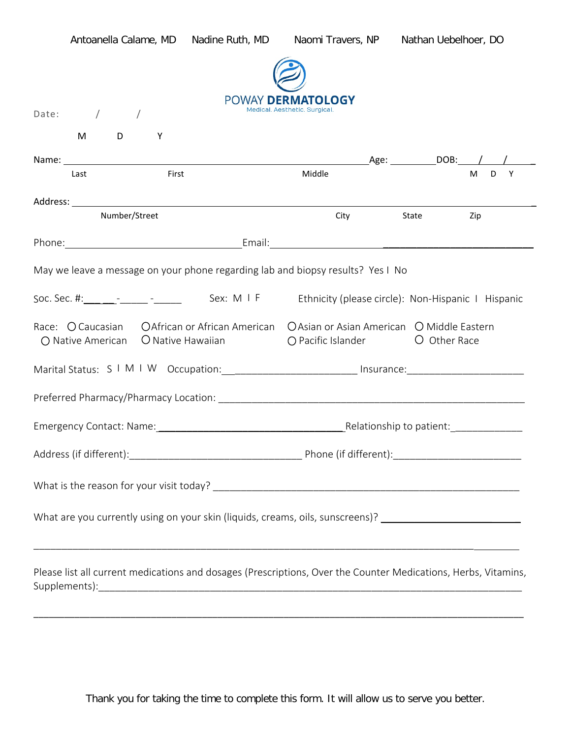|                                                                                                                                                                      | Antoanella Calame, MD |                                                                                                      | Nadine Ruth, MD Naomi Travers, NP Nathan Uebelhoer, DO |            |             |  |
|----------------------------------------------------------------------------------------------------------------------------------------------------------------------|-----------------------|------------------------------------------------------------------------------------------------------|--------------------------------------------------------|------------|-------------|--|
|                                                                                                                                                                      |                       |                                                                                                      |                                                        |            |             |  |
|                                                                                                                                                                      | Date: $/$ /           |                                                                                                      | POWAY DERMATOLOGY<br>Medical. Aesthetic. Surgical      |            |             |  |
|                                                                                                                                                                      | $M$ D<br>Υ            |                                                                                                      |                                                        |            |             |  |
|                                                                                                                                                                      | Last                  | First                                                                                                | Middle                                                 |            | D<br>Y<br>M |  |
|                                                                                                                                                                      | Number/Street         |                                                                                                      |                                                        | City State | Zip         |  |
|                                                                                                                                                                      |                       |                                                                                                      |                                                        |            |             |  |
| May we leave a message on your phone regarding lab and biopsy results? Yes I No                                                                                      |                       |                                                                                                      |                                                        |            |             |  |
| Soc. Sec. #: Fig. 2014 [16] Sex: M I F Ethnicity (please circle): Non-Hispanic I Hispanic                                                                            |                       |                                                                                                      |                                                        |            |             |  |
| Race: O Caucasian CAfrican or African American CAsian or Asian American C Middle Eastern<br>○ Pacific Islander ○ O Other Race<br>○ Native American ○ Native Hawaiian |                       |                                                                                                      |                                                        |            |             |  |
|                                                                                                                                                                      |                       | Marital Status: S I M I W Occupation: ___________________________ Insurance: _______________________ |                                                        |            |             |  |
|                                                                                                                                                                      |                       |                                                                                                      |                                                        |            |             |  |
|                                                                                                                                                                      |                       |                                                                                                      |                                                        |            |             |  |
|                                                                                                                                                                      |                       |                                                                                                      |                                                        |            |             |  |
|                                                                                                                                                                      |                       |                                                                                                      |                                                        |            |             |  |
| What are you currently using on your skin (liquids, creams, oils, sunscreens)? _______________________________                                                       |                       |                                                                                                      |                                                        |            |             |  |
| Please list all current medications and dosages (Prescriptions, Over the Counter Medications, Herbs, Vitamins,                                                       |                       |                                                                                                      |                                                        |            |             |  |

Thank you for taking the time to complete this form. It will allow us to serve you better.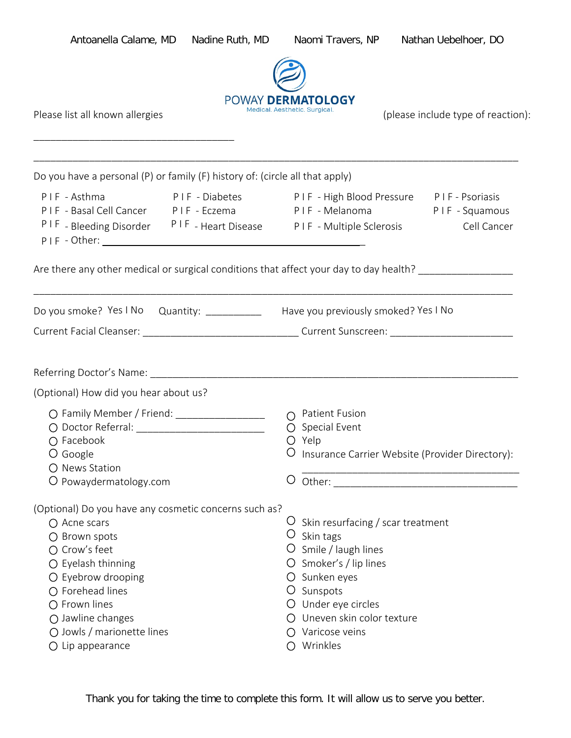| Antoanella Calame, MD                                                                                                                                                                                                                                                                         | Nadine Ruth, MD |                                                                                                                                                                                                                             | Naomi Travers, NP Nathan Uebelhoer, DO                                                                                |
|-----------------------------------------------------------------------------------------------------------------------------------------------------------------------------------------------------------------------------------------------------------------------------------------------|-----------------|-----------------------------------------------------------------------------------------------------------------------------------------------------------------------------------------------------------------------------|-----------------------------------------------------------------------------------------------------------------------|
| Please list all known allergies                                                                                                                                                                                                                                                               |                 | POWAY DERMATOLOGY<br>Medical. Aesthetic. Surgical.                                                                                                                                                                          | (please include type of reaction):                                                                                    |
| Do you have a personal (P) or family (F) history of: (circle all that apply)                                                                                                                                                                                                                  |                 |                                                                                                                                                                                                                             |                                                                                                                       |
| PIF - Asthma<br>PIF-Basal Cell Cancer PIF-Eczema PIF-Melanoma PIF-Squamous<br>PIF - Bleeding Disorder PIF - Heart Disease PIF - Multiple Sclerosis Cell Cancer                                                                                                                                |                 |                                                                                                                                                                                                                             | PIF-Diabetes PIF-High Blood Pressure PIF-Psoriasis                                                                    |
| Are there any other medical or surgical conditions that affect your day to day health? ___________________                                                                                                                                                                                    |                 |                                                                                                                                                                                                                             |                                                                                                                       |
| Do you smoke? Yes I No Quantity: ___________ Have you previously smoked? Yes I No<br>Current Facial Cleanser: ___________________________________Current Sunscreen: ___________________________                                                                                               |                 |                                                                                                                                                                                                                             | <u> 1989 - Johann Stoff, deutscher Stoff, der Stoff, der Stoff, der Stoff, der Stoff, der Stoff, der Stoff, der S</u> |
|                                                                                                                                                                                                                                                                                               |                 |                                                                                                                                                                                                                             |                                                                                                                       |
| (Optional) How did you hear about us?                                                                                                                                                                                                                                                         |                 |                                                                                                                                                                                                                             |                                                                                                                       |
| ○ Family Member / Friend: _____________________<br>$O$ Facebook<br>O Google<br>O News Station<br>O Powaydermatology.com                                                                                                                                                                       |                 | O Patient Fusion<br>$O$ Special Event<br>$\bigcirc$ Yelp                                                                                                                                                                    | Insurance Carrier Website (Provider Directory):                                                                       |
| (Optional) Do you have any cosmetic concerns such as?<br>$\bigcap$ Acne scars<br>○ Brown spots<br>○ Crow's feet<br>$O$ Eyelash thinning<br>O Eyebrow drooping<br>$\bigcirc$ Forehead lines<br>$O$ Frown lines<br>○ Jawline changes<br>○ Jowls / marionette lines<br>$\bigcirc$ Lip appearance |                 | Skin resurfacing / scar treatment<br>$\cup$ Skin tags<br>O Smile / laugh lines<br>O Smoker's / lip lines<br>O Sunken eyes<br>O Sunspots<br>O Under eye circles<br>O Uneven skin color texture<br>Varicose veins<br>Wrinkles |                                                                                                                       |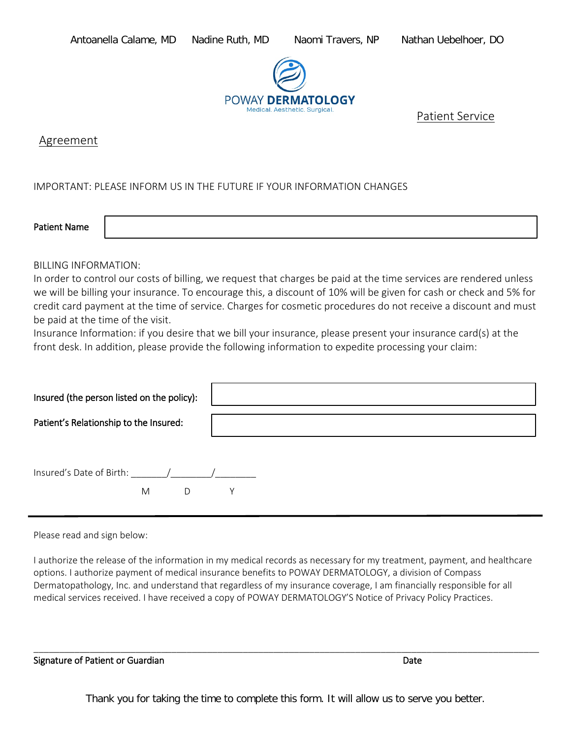

Patient Service

Agreement

IMPORTANT: PLEASE INFORM US IN THE FUTURE IF YOUR INFORMATION CHANGES

Patient Name

## BILLING INFORMATION:

In order to control our costs of billing, we request that charges be paid at the time services are rendered unless we will be billing your insurance. To encourage this, a discount of 10% will be given for cash or check and 5% for credit card payment at the time of service. Charges for cosmetic procedures do not receive a discount and must be paid at the time of the visit.

Insurance Information: if you desire that we bill your insurance, please present your insurance card(s) at the front desk. In addition, please provide the following information to expedite processing your claim:

| Insured (the person listed on the policy): |  |
|--------------------------------------------|--|
| Patient's Relationship to the Insured:     |  |
| Insured's Date of Birth: / / /<br>M<br>D   |  |

Please read and sign below:

I authorize the release of the information in my medical records as necessary for my treatment, payment, and healthcare options. I authorize payment of medical insurance benefits to POWAY DERMATOLOGY, a division of Compass Dermatopathology, Inc. and understand that regardless of my insurance coverage, I am financially responsible for all medical services received. I have received a copy of POWAY DERMATOLOGY'S Notice of Privacy Policy Practices.

Signature of Patient or Guardian Date Communication of Patient Assembly Date Date

\_\_\_\_\_\_\_\_\_\_\_\_\_\_\_\_\_\_\_\_\_\_\_\_\_\_\_\_\_\_\_\_\_\_\_\_\_\_\_\_\_\_\_\_\_\_\_\_\_\_\_\_\_\_\_\_\_\_\_\_\_\_\_\_\_\_\_\_\_\_\_\_\_\_\_\_\_\_\_\_\_\_\_\_\_\_\_\_\_\_\_\_\_\_\_\_\_\_\_